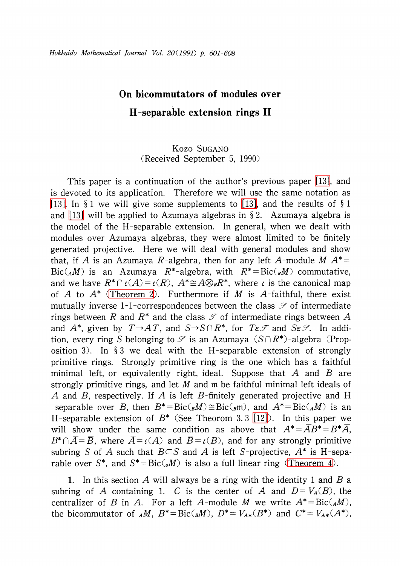## On bicommutators of modules over  $\bm{H}$ -separable extension rings II

## Kozo SUGANO (Received September 5, 1990)

This paper is a continuation of the author's previous paper [\[13\],](#page-7-0) and is devoted to its application. Therefore we will use the same notation as [\[13\].](#page-7-0) In  $\S 1$  we will give some supplements to [\[13\],](#page-7-0) and the results of  $\S 1$ and [\[13\]](#page-7-0) will be applied to Azumaya algebras in  $\S$  2. Azumaya algebra is the model of the H-separable extension. In general, when we dealt with modules over Azumaya algebras, they were almost limited to be finitely generated projective. Here we will deal with general modules and show that, if A is an Azumaya R-algebra, then for any left A-module  $M A^{*}=$  $Bic(_{A}M)$  is an Azumaya  $R^{*}-$ algebra, with  $R^{*}=Bic(_{R}M)$  commutative, and we have  $R^{*}\cap\iota(A)=\iota(R)$ ,  $A^{*}\widetilde{=}A\otimes_{R}R^{*},$  where  $\iota$  is the canonical map of A to  $A^{*}$  [\(Theorem](#page-4-0) 2). Furthermore if M is A-faithful, there exist mutually inverse 1-1-correspondences between the class  $\mathscr{S}$  of intermediate rings between R and  $R^{*}$  and the class  $\mathscr{I}$  of intermediate rings between A and  $A^{*}$ , given by  $T{\rightarrow} AT$ , and  $S{\rightarrow} S\cap R^{*}$ , for  $T\varepsilon\mathcal{I}$  and  $S\varepsilon\mathcal{S}$ . In addition, every ring S belonging to  $\mathscr{S}$  is an Azumaya (S $\cap R^{*}$ )-algebra (Proposition 3). In  $\S$  3 we deal with the H-separable extension of strongly primitive rings. Strongly primitive ring is the one which has a faithful minimal left, or equivalently right, ideal. Suppose that  $A$  and  $B$  are strongly primitive rings, and let  $M$  and m be faithful minimal left ideals of A and B, respectively. If A is left B-finitely generated projective and H -separable over B, then  $B^{*}=Bic(_{B}M)\cong Bic(_{B}\mathfrak{m})$ , and  $A^{*}=Bic(_{A}M)$  is an H-separable extension of  $B^{*}$  (See Theorom 3. 3 [\[12\]\)](#page-7-1). In this paper we will show under the same condition as above that  $A^{*}=AB^{*}=B^{*}A$ ,  $B^{*}\cap\overline{A}=\overline{B},$  where  $\overline{A}=\iota(A)$  and  $\overline{B}=\iota(B),$  and for any strongly primitive subring S of A such that  $B\subset S$  and A is left S-projective,  $A^{*}$  is H-separable over S<sup>\*</sup>, and  $S^{*} = \text{Bic}(\mathcal{A})$  is also a full linear ring [\(Theorem](#page-5-0) 4).

1. In this section A will always be a ring with the identity 1 and B a subring of A containing 1. C is the center of A and  $D=V_{A}(B)$ , the centralizer of B in A. For a left A-module M we write  $A^{*} = \text{Bic}({}_{A}M)$ , the bicommutator of  $_A M$ ,  $B^{*}=Bic(_{B}M)$ ,  $D^{*}=V_{A*}(B^{*})$  and  $C^{*}=V_{A*}(A^{*})$ ,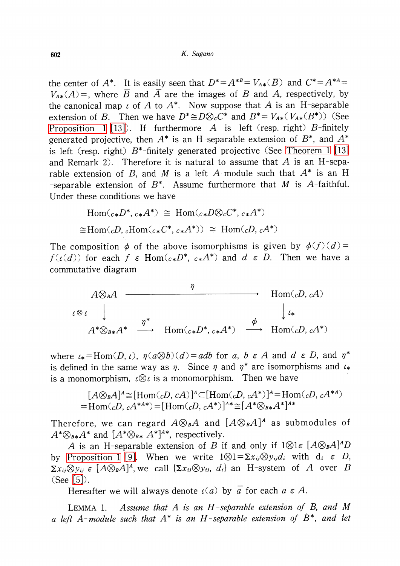the center of  $A^{*}$ . It is easily seen that  $D^{*}=A^{*B}=V_{A*}(B)$  and  $C^{*}=A^{*A}=$  $V_{A*}(\overline{A})$  =, where  $\overline{B}$  and  $\overline{A}$  are the images of B and A, respectively, by the canonical map  $\iota$  of A to  $A^{*}$ . Now suppose that A is an H-separable extension of B. Then we have  $D^{*}\cong D\otimes_{c}C^{*}$  and  $B^{*}=V_{A*}(V_{A*}(B^{*}))$  (See [Proposition](#page-2-0) 1 [\[13\]](#page-7-0)). If furthermore A is left (resp. right)  $B$ -finitely generated projective, then  $A^{*}$  is an H-separable extension of  $B^{*}$ , and  $A^{*}$ is left (resp. right)  $B^{*}$ -finitely generated projective (See [Theorem](#page-2-1) 1 [\[13\]](#page-7-0) and Remark 2). Therefore it is natural to assume that  $A$  is an H-separable extension of B, and M is a left A-module such that  $A^{*}$  is an H -separable extension of  $B^{*}$ . Assume furthermore that  $M$  is  $A$ -faithful. Under these conditions we have

$$
\text{Hom}(_{c*}D^*, c*A^*) \cong \text{Hom}(_{c*}D\otimes_c C^*, c*A^*)
$$
  

$$
\cong \text{Hom}(_{c}D, c\text{Hom}(_{c*}C^*, c*A^*)) \cong \text{Hom}(_{c}D, cA^*)
$$

The composition  $\phi$  of the above isomorphisms is given by  $\phi(f)(d)=$  $f(\iota(d))$  for each f  $\varepsilon$  Hom $(c_{*}D^{*}, c_{*}A^{*})$  and d  $\varepsilon$  D. Then we have a commutative diagram

$$
A \otimes_{B} A \longrightarrow \text{Hom}(cD, cA)
$$
  
\n
$$
\iota \otimes \iota \qquad \downarrow \qquad \qquad \downarrow \iota
$$
  
\n
$$
A^* \otimes_{B*} A^* \longrightarrow \text{Hom}(c_* D^*, c_* A^*) \longrightarrow \text{Hom}(cD, cA^*)
$$

where  $\iota_{*}=\text{Hom}(D, \iota)$ ,  $\eta(a\otimes b)(d)=adb$  for a, b  $\in A$  and d  $\in D$ , and  $\eta^{*}$ is defined in the same way as  $\eta$ . Since  $\eta$  and  $\eta^{*}$  are isomorphisms and  $\iota_{*}$ is a monomorphism,  $\iota\otimes\iota$  is a monomorphism. Then we have

$$
[A\otimes_{B}A]^{\mathcal{A}}\cong[\text{Hom}({_{c}D, cA})]^{\mathcal{A}}\subset[\text{Hom}({_{c}D, cA^*})]^{\mathcal{A}}=\text{Hom}({_{c}D, cA^{*A}})
$$
  
= Hom( $\mathcal{A}$ ),  $\mathcal{A}^{A\mathcal{A}*}}=[\text{Hom}({_{c}D, cA^*})]^{\mathcal{A}*}\cong[A^*\otimes_{B*}A^*]^{\mathcal{A}*}$ 

Therefore, we can regard  $A\otimes_{B}A$  and  $[A\otimes_{B}A]^{A}$  as submodules of  $A^{*}\otimes_{B*}A^{*}$  and  $[A^{*}\otimes_{B*}A^{*}]^{A*}$ , respectively.

A is an H-separable extension of B if and only if  $1\otimes 1\epsilon$   $[A\otimes_{B}A]^{A}D$ by [Proposition](#page-2-0) 1 [\[9\].](#page-7-2) When we write  $1\otimes 1=\Sigma x_{ij}\otimes y_{ij}d_{i}$  with  $d_{i} \in D$ ,  $\Sigma x_{ij}\otimes y_{ij}\,\,\varepsilon$   $[A\otimes_{B}A]^{A}$ , we call  $\{\Sigma x_{ij}\otimes y_{ij},$   $d_{i}\}$  an H-system of  $A$  over  $B$ (See [\[5\]\)](#page-6-0).

Hereafter we will always denote  $\iota(a)$  by  $\overline{a}$  for each  $a \in A.$ 

<span id="page-1-0"></span>LEMMA 1. Assume that A is an  $H$ -separable extension of B, and M a left A-module such that  $A^{*}$  is an H-separable extension of  $B^{*}$ , and let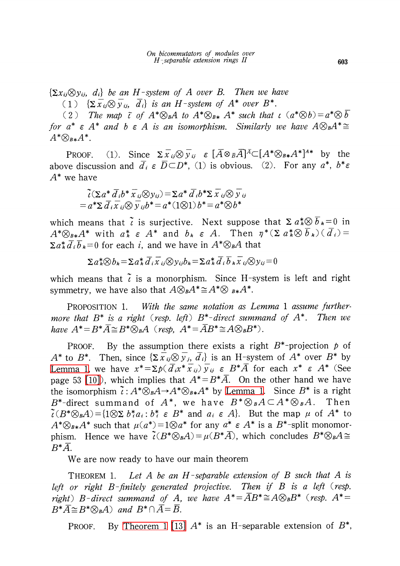(1)  ${\{\Sigma\overline{x}_{ij}\otimes\overline{y}_{ij},\ \overline{d}_{i}\}}$  is an H-system of  $A^{*}$  over  $B^{*}$ .

(2) The map  $\tilde{\iota}$  of  $A^{*}\otimes_{B}A$  to  $A^{*}\otimes_{B*}A^{*}$  such that  $\iota(a^{*}\otimes b)=a^{*}\otimes\overline{b}$ for  $a^{*}\varepsilon A^{*}$  and b $\varepsilon A$  is an isomorphism. Similarly we have  $A\otimes_{B}A^{*}\cong$  $A^{*}\otimes_{B*}A^{*}.$ 

PROOF. (1). Since  $\Sigma\overline{x}_{ij}\otimes\overline{y}_{ij}$   $\varepsilon[\overline{A}\otimes_{\overline{B}}\overline{A}]^{\overline{A}}\subset[A^{*}\otimes_{B*}A^{*}]^{A*}$  by the above discussion and  $\overline{d}_{i}\varepsilon\ \overline{D}\subset D^{*}$ , (1) is obvious. (2). For any  $a^{*}$ ,  $b^{*}\varepsilon$  $A^{*}$  we have

$$
\tilde{\iota}(\Sigma a^* \overline{d}_i b^* \overline{x}_{ij} \otimes y_{ij}) = \Sigma a^* \overline{d}_i b^* \Sigma \overline{x}_{ij} \otimes \overline{y}_{ij}
$$
  
=  $a^* \Sigma \overline{d}_i \overline{x}_{ij} \otimes \overline{y}_{ij} b^* = a^* (1 \otimes 1) b^* = a^* \otimes b^*$ 

which means that  $\tilde{\iota}$  is surjective. Next suppose that  $\Sigma a_{k}^{*}\otimes\overline{b}_{k}=0$  in  $A^{*}\otimes_{B*}A^{*}$  with  $a_{k}^{*}\varepsilon A^{*}$  and  $b_{k}\varepsilon A$ . Then  $\eta^{*}(\Sigma a_{k}^{*}\otimes\overline{b}_{k}) (\overline{d}_{i})=$  $\Sigma a_{k}^{*}\overline{d}_{i}\overline{b}_{k}=0$  for each i, and we have in  $A^{*}\otimes_{B}A$  that

$$
\Sigma a_k^* \otimes b_k = \Sigma a_k^* \overline{d}_i \overline{x}_{ij} \otimes y_{ij} b_k = \Sigma a_k^* \overline{d}_i \overline{b}_k \overline{x}_{ij} \otimes y_{ij} = 0
$$

which means that  $\tilde{\iota}$  is a monorphism. Since H-system is left and right symmetry, we have also that  $A\otimes_{B}A^{*}\cong A^{*}\otimes B^{*}A^{*}.$ 

<span id="page-2-0"></span>PROPOSITION 1. With the same notation as Lemma 1 assume furthermore that  $B^{*}$  is a right (resp. left)  $B^{*}$ -direct summand of  $A^{*}$ . Then we have  $A^{*}=B^{*}\overline{A}\cong B^{*}\otimes_{B}A$  (resp,  $A^{*}=\overline{A}B^{*}\cong A\otimes_{B}B^{*}$ ).

PROOF. By the assumption there exists a right  $B^{*}$ -projection p of  $A^{*}$  to  $B^{*}$ . Then, since  $\{\Sigma\overline{x}_{ij}\otimes\overline{y}_{j},\,\overline{d}_{i}\}$  is an H-system of  $A^{*}$  over  $B^{*}$  by [Lemma](#page-1-0) 1, we have  $x^{*}=\Sigma p(\overline{d}_{i}x^{*}\overline{x}_{ij})\overline{y}_{ij}\in B^{*}\overline{A}$  for each  $x^{*}\varepsilon A^{*}$  (See page 53 [\[10\]](#page-7-3)), which implies that  $A^{*}{=}B^{*}\bar{A}$ . On the other hand we have the isomorphism  $\tilde{\iota}:A^{*}\otimes_{B}A\rightarrow A^{*}\otimes_{B^{*}}A^{*}$  by [Lemma](#page-1-0) 1. Since  $B^{*}$  is a right  $B^{*}-$ direct summand of  $A^{*},$  we have  $B^{*}\otimes_{\scriptscriptstyle{ B}} A\subset A^{*}\otimes_{\scriptscriptstyle{ B}} A$ . Then  $\tilde{\iota}(B^{*}\otimes_{B}A) = { 1\otimes\Delta b_{i}^{*}a_{i} : b_{i}^{*}\in B^{*} \text{ and } a_{i}\in A }$ . But the map  $\mu$  of  $A^{*}$  to  $A^{*}\otimes_{B*}A^{*}$  such that  $\mu(a^{*})=1\otimes a^{*}$  for any  $a^{*}\varepsilon A^{*}$  is a  $B^{*}$ -split monomorphism. Hence we have  $\tilde{\iota}(B^{*}\otimes_{B}A)=\mu(B^{*}A)$ , which concludes  $B^{*}\otimes_{B}A\cong$  $B^{*}A.$ 

<span id="page-2-1"></span>We are now ready to have our main theorem

THEOREM 1. Let A be an  $H$ -separable extension of B such that A is left or right  $B$ -finitely generated projective. Then if  $B$  is a left (resp. right) B-direct summand of A, we have  $A^{*}=\overline{A}B^{*}\cong A\otimes_{B}B^{*}$  (resp.  $A^{*}=$  $B^{*}\overline{A}\cong B^{*}\otimes_{B}A$  and  $B^{*}\cap\overline{A}=\overline{B}$ .

PROOF. By [Theorem](#page-2-1) 1 [\[13\]](#page-7-0)  $A^{*}$  is an H-separable extension of  $B^{*},$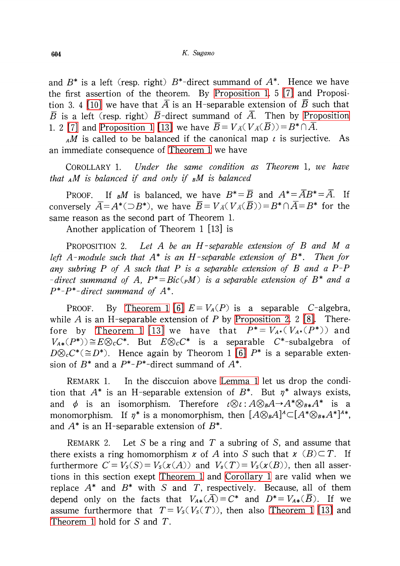and  $B^{*}$  is a left (resp. right)  $B^{*}-$ direct summand of  $A^{*}.$  Hence we have the first assertion of the theorem. By [Proposition](#page-2-0) 1. <sup>5</sup> [\[7\]](#page-7-4) and Proposi-tion 3. 4 [\[10\]](#page-7-3) we have that  $\overline{A}$  is an H-separable extension of  $\overline{B}$  such that  $\overline{B}$  is a left (resp. right)  $\overline{B}$ -direct summand of  $\overline{A}$ . Then by [Proposition](#page-2-0) 1. 2 [\[7\]](#page-7-4) and [Proposition](#page-2-0) 1 [\[13\]](#page-7-0) we have  $\overline{B}=V_{\overline{A}}(V_{\overline{A}}(B))=B^{*}\cap A$ .

AM is called to be balanced if the canonical map  $\iota$  is surjective. As an immediate consequence of [Theorem](#page-2-1) <sup>1</sup> we have

<span id="page-3-1"></span>COROLLARY 1. Under the same condition as Theorem 1, we have that  $_A M$  is balanced if and only if  $_B M$  is balanced

PROOF. If  $_{B}M$  is balanced, we have  $B^{*}{=}\overline{B}$  and  $A^{*}{=}\overline{AB^{*}}{=}\overline{A}$ . If conversely  $\overline{A}=A^{*}(\supseteq{}B^{*})$ , we have  $\overline{B}=V_{\overline{A}}(\ V_{\overline{A}}(\overline{B}))=B^{*}\cap A=B^{*}$  for the same reason as the second part of Theorem 1.

<span id="page-3-0"></span>Another application of Theorem <sup>1</sup> [13] is

PROPOSITION 2. Let A be an H-separable extension of B and M  $\alpha$ left A-module such that  $A^{*}$  is an H-separable extension of  $B^{*}$ . Then for any subring  $P$  of  $A$  such that  $P$  is a separable extension of  $B$  and a  $P-P$ -direct summand of A,  $P^{*}=Bic(pM)$  is a separable extension of  $B^{*}$  and a  $P^{*}-P^{*}- direct$  summand of  $A^{*}$ .

PROOF. By [Theorem](#page-2-1) 1 [\[6\]](#page-6-1)  $E = V_{A}(P)$  is a separable C-algebra, while A is an H-separable extension of P by [Proposition](#page-3-0) 2. 2 [\[8\].](#page-7-5) There-fore by [Theorem](#page-2-1) 1 [\[13\]](#page-7-0) we have that  $P^{*}=V_{A^{*}}(V_{A^{*}}(P^{*}))$  and  $V_{A*}(P^{*}))\cong E\otimes_{C}C^{*}.$  But  $E\otimes_{C}C^{*}$  is a separable  $C^{*}$ -subalgebra of  $D\otimes_{c}C^{*}(\cong D^{*})$ . Hence again by Theorom 1 [\[6\]](#page-6-1)  $P^{*}$  is a separable extension of  $B^{*}$  and a  $P^{*}-P^{*}-$ direct summand of  $A^{*}.$ 

REMARK 1. In the disccuion above [Lemma](#page-1-0) <sup>1</sup> let us drop the condition that  $A^{*}$  is an H-separable extension of  $B^{*}$ . But  $\eta^{*}$  always exists, and  $\phi$  is an isomorphism. Therefore  $\iota\otimes\iota : A\otimes_{B}A\rightarrow A^{*}\otimes_{B*}A^{*}$  is a monomorphism. If  $\eta^{*}$  is a monomorphism, then  $[A\otimes_{\scriptscriptstyle{B}} A]^{A}\subset [A^{*}\otimes_{\scriptscriptstyle{B}} A^{*}]^{A*}$ , and  $A^{*}$  is an H-separable extension of  $B^{*}.$ 

REMARK 2. Let S be a ring and T a subring of S, and assume that there exists a ring homomorphism  $\kappa$  of A into S such that  $\kappa$  (B) $\subset T$ . If furthermore  $C' = V_{S}(S) = V_{S}(x(A))$  and  $V_{S}(T) = V_{S}(x(B))$ , then all assertions in this section exept [Theorem](#page-2-1) <sup>1</sup> and [Corollary](#page-3-1) <sup>1</sup> are valid when we replace  $A^{*}$  and  $B^{*}$  with S and T, respectively. Because, all of them depend only on the facts that  $V_{A*}(\overline{A}) = C^{*}$  and  $D^{*}=V_{A*}(\overline{B})$ . If we assume furthermore that  $T=V_{S}(V_{S}(T))$ , then also [Theorem](#page-2-1) 1 [\[13\]](#page-7-0) and [Theorem](#page-2-1) 1 hold for S and T.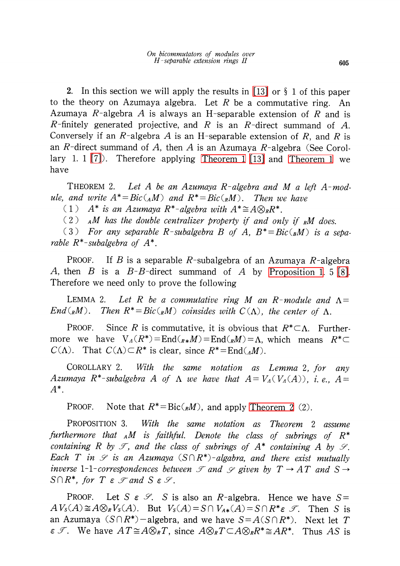2. In this section we will apply the results in [\[13\]](#page-7-0) or  $\S$  1 of this paper to the theory on Azumaya algebra. Let R be a commutative ring. An Azumaya  $R$ -algebra  $A$  is always an H-separable extension of  $R$  and is R-finitely generated projective, and R is an R-direct summand of A. Conversely if an R-algebra A is an H-separable extension of R, and R is an R-direct summand of A, then A is an Azumaya R-algebra (See Corollary 1. 1  $[7]$ ). Therefore applying [Theorem](#page-2-1) 1  $[13]$  and Theorem 1 we have

<span id="page-4-0"></span>THEOREM 2. Let A be an Azumaya R-algebra and M a left A-module, and write  $A^{*}=Bic(_{A}M)$  and  $R^{*}=Bic(_{R}M)$ . Then we have

(1)  $A^{*}$  is an Azumaya R<sup>\*</sup>-algebra with  $A^{*}\cong A\otimes_{R}R^{*}$ .

(2) AM has the double centralizer property if and only if RM does.<br>(3) For any separable R-subalgebra B of A,  $B^* = Bic(y)$  is a s

For any separable R-subalgebra B of A,  $B^{*}=Bic(_{B}M)$  is a separable  $R^{*}$ -subalgebra of  $A^{*}$ .

PROOF. If B is a separable R-subalgebra of an Azumaya R-algebra A, then B is a  $B$ -B-direct summand of A by [Proposition](#page-2-0) 1. 5 [\[8\].](#page-7-5) Therefore we need only to prove the following

<span id="page-4-1"></span>LEMMA 2. Let R be a commutative ring M an R-module and  $\Lambda=$  $End(_{R}M)$ . Then  $R^{*}=Bic(_{R}M)$  coinsides with  $C(\Lambda)$ , the center of  $\Lambda$ .

PROOF. Since R is commutative, it is obvious that  $R^{*}\subset\Lambda$ . Furthermore we have  $V_{\Lambda}(R^{*})=End(_{R*}M)=End(_{R}M)=\Lambda$ , which means  $R^{*}\subset$  $C(\Lambda)$ . That  $C(\Lambda)\subset R^{*}$  is clear, since  $R^{*}=\text{End}(_{\Lambda}M)$ .

<span id="page-4-2"></span>COROLLARY 2. With the same notation as Lemma 2, for any Azumaya  $R^{*}$ -subalgebra A of  $\Lambda$  we have that  $A=V_{\Lambda}(V_{\Lambda}(A))$ , i.e.,  $A=$  $A^{\boldsymbol{\char`{}}}}$  .

PROOF. Note that  $R^{*}=Bic(_{R}M)$ , and apply [Theorem](#page-4-0) 2 (2).

PROPOSITION 3. With the same notation as Theorem 2 assume furthermore that  $_A M$  is faithful. Denote the class of subrings of  $R^{*}$ containing R by  $\mathscr{T}$ , and the class of subrings of  $A^{*}$  containing A by  $\mathscr{S}.$ Each T in  $\mathscr{S}$  is an Azumaya  $(S\cap R^{*})$ -algabra, and there exist mutually inverse 1-1-correspondences between  $\mathscr{I}$  and  $\mathscr{S}$  given by  $T\rightarrow AT$  and S $\rightarrow$  $S\cap R^{*},$  for  $T$   $\varepsilon$   $\mathscr{S}$  and  $S$   $\varepsilon$   $\mathscr{S}.$ 

PROOF. Let  $S \in \mathcal{S}$ . S is also an R-algebra. Hence we have  $S=$  $A V_{S}(A) \cong A\otimes_{R}V_{S}(A)$ . But  $V_{S}(A)=S\cap V_{A*}(A)=S\cap R^{*}\varepsilon \mathcal{I}$ . Then S is an Azumaya  $(S\cap R^{*})$ -algebra, and we have  $S=A(S\cap R^{*})$ . Next let T  $\varepsilon$  T. We have  $AT \cong A\otimes_{R}T$ , since  $A\otimes_{R}T\subset A\otimes_{R}R^{*}\cong AR^{*}$ . Thus AS is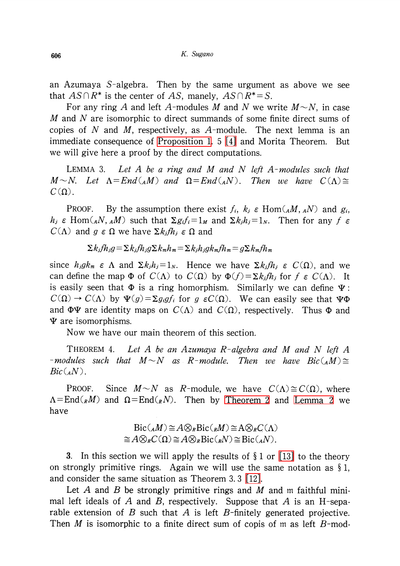an Azumaya S-algebra. Then by the same urgument as above we see that  $AS\cap R^{*}$  is the center of AS, manely,  $AS\cap R^{*}=S$ .

For any ring A and left A-modules M and N we write  $M \sim N$ , in case M and N are isomorphic to direct summands of some finite direct sums of copies of N and M, respectively, as  $A$ -module. The next lemma is an immediate consequence of [Proposition](#page-2-0) 1. 5 [\[4\]](#page-6-2) and Morita Theorem. But we will give here a proof by the direct computations.

<span id="page-5-1"></span>LEMMA 3. Let A be a ring and M and N left A-modules such that  $M\sim N$ . Let  $\Lambda=End(_{A}M)$  and  $\Omega=End(_{A}N)$ . Then we have  $C(\Lambda)\cong$  $C(\Omega)$  .

PROOF. By the assumption there exist  $f_i$ ,  $k_{j} \in \text{Hom}( _{A}M, _{A}N)$  and  $g_{i}$ ,  $h_{j}\in \text{Hom}( {}_{A}N, {}_{A}M)$  such that  $\Sigma g_{i}f_{i}=1_{M}$  and  $\Sigma k_{j}h_{j}=1_{N}$ . Then for any f  $\epsilon$  $C(\Lambda)$  and g  $\epsilon \Omega$  we have  $\Sigma k_{j}fh_{j}\epsilon \Omega$  and

$$
\Sigma k_j f h_j g = \Sigma k_j f h_j g \Sigma k_m h_m = \Sigma k_j h_j g k_m f h_m = g \Sigma k_m f h_m
$$

since  $h_j g k_m \in \Lambda$  and  $\Sigma k_{j}h_{j}=1_{N}$ . Hence we have  $\Sigma k_{j}fh_{j}\in C(\Omega)$ , and we can define the map  $\Phi$  of  $C(\Lambda)$  to  $C(\Omega)$  by  $\Phi(f)=\Sigma k_{j}f_{h_{j}}$  for  $f\in C(\Lambda)$ . It is easily seen that  $\Phi$  is a ring homorphism. Similarly we can define  $\Psi$ :  $C(\Omega)\rightarrow C(\Lambda)$  by  $\Psi(g)=\Sigma g_{i}gf_{i}$  for g  $\varepsilon C(\Omega)$ . We can easily see that  $\Psi\Phi$ and  $\Phi\Psi$  are identity maps on  $C(\Lambda)$  and  $C(\Omega)$ , respectively. Thus  $\Phi$  and  $\Psi$  are isomorphisms.

<span id="page-5-0"></span>Now we have our main theorem of this section.

THEOREM 4. Let A be an Azumaya R-algebra and M and N left A -modules such that  $M\sim N$  as R-module. Then we have  $Bic({}_AM)\cong$  $Bic({}_{A}N)$ .

PROOF. Since  $M \sim N$  as R-module, we have  $C(\Lambda) \cong C(\Omega)$ , where  $\Lambda = \text{End}(_{R}M)$  and  $\Omega = \text{End}(_{R}N)$ . Then by [Theorem](#page-4-0) 2 and [Lemma](#page-4-1) 2 we have

$$
Bic(_AM) \cong A \otimes_R Bic(_RM) \cong A \otimes_R C(\Lambda)
$$
  

$$
\cong A \otimes_R C(\Omega) \cong A \otimes_R Bic(_RN) \cong Bic(_AN).
$$

3. In this section we will apply the results of  $\S 1$  or [\[13\]](#page-7-0) to the theory on strongly primitive rings. Again we will use the same notation as  $\S 1$ , and consider the same situation as Theorem 3. 3 [\[12\].](#page-7-1)

Let A and B be strongly primitive rings and M and m faithful minimal left ideals of A and B, respectively. Suppose that A is an H-separable extension of B such that A is left B-finitely generated projective. Then M is isomorphic to a finite direct sum of copis of m as left  $B$ -mod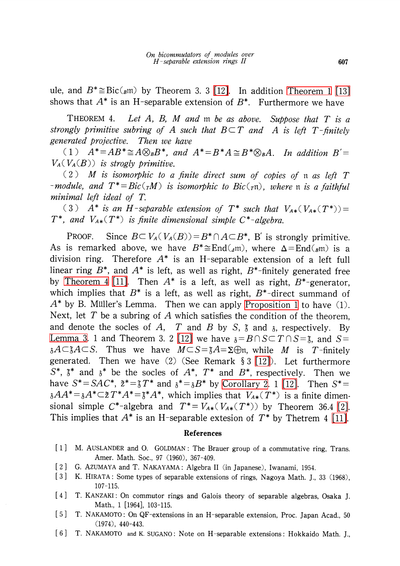ule, and  $B^{*}\cong \text{Bic}({}_{B}\mathfrak{m})$  by Theorem 3. 3 [\[12\].](#page-7-1) In addition [Theorem](#page-2-1) 1 [\[13\]](#page-7-0) shows that  $A^{*}$  is an H-separable extension of  $B^{*}.$   $\;$  Furthermore we have

THEOREM 4. Let A, B, M and  $m$  be as above. Suppose that  $T$  is a strongly primitive subring of A such that  $B\subset T$  and A is left T-finitely generated projective. Then we have

(1)  $A^{*}=AB^{*}\cong A\otimes_{B}B^{*}$ , and  $A^{*}=B^{*}A\cong B^{*}\otimes_{B}A$ . In addition  $B'=$  $V_{A}( V_{A}(B))$  is strogly primitive.

(2) M is isomorphic to a finite direct sum of copies of  $\mathfrak{n}$  as left  $T$ -module, and  $T^{*}=Bic(_{T}M)$  is isomorphic to  $Bic(_{T}\mathfrak{n})$ , where  $\mathfrak{n}$  is a faithful minimal left ideal of T.

(3)  $A^{*}$  is an H-separable extension of  $T^{*}$  such that  $V_{A*}(V_{A*}(T^{*}))=$  $T^{*}$ , and  $V_{A*}(T^{*})$  is finite dimensional simple  $C^{*}$ -algebra.

PROOF. Since  $B\subset V_{A}( V_{A}(B))=B^{*}\cap A\subset B^{*}$ . B' is strongly primitive. As is remarked above, we have  $B^{*}{\cong}\mathrm{End}(_{\mathcal{A}\mathfrak{m}})$ , where  $\Delta{=}\mathrm{End}(_{\mathcal{B}\mathfrak{m}})$  is a division ring. Therefore  $A^{*}$  is an H-separable extension of a left full linear ring  $B^{*}$ , and  $A^{*}$  is left, as well as right,  $B^{*}$ -finitely generated free by [Theorem](#page-5-0) 4 [\[11\].](#page-7-6) Then  $A^{*}$  is a left, as well as right,  $B^{*}$ -generator, which implies that  $B^{*}$  is a left, as well as right,  $B^{*}$ -direct summand of  $A^{*}$  by B. Müller's Lemma. Then we can apply [Proposition](#page-2-0) 1 to have (1). Next, let T be a subring of A which satisfies the condition of the theorem. and denote the socles of A, T and B by S,  $\tilde{3}$  and  $\tilde{3}$ , respectively. By [Lemma](#page-5-1) 3. 1 and Theorem 3. 2 [\[12\]](#page-7-1) we have  $_3$ = $B\cap S\!\subset T\cap S\!=\!{\sf \tilde{3}}$ , and  $S\!=\!$  ${}_{3}A\subset \tilde{3}A\subset S.$  Thus we have  $M\subset S=\tilde{3}A=\Sigma\oplus$ n, while  $M$  is  $T$ -finitely generated. Then we have  $(2)$  (See Remark § 3 [\[12\]\)](#page-7-1). Let furthermore  $S^{*}, \; \tilde{\text{a}}^{*}$  and  $\text{a}^{*}$  be the socles of  $A^{*}, \; T^{*}$  and  $B^{*}$ , respectively. Then we have  $S^{*}=SAC^{*},\ \tilde{z}^{*}=\tilde{z}T^{*}$  and  $\tilde{z}^{*}=\tilde{z}B^{*}$  by [Corollary](#page-4-2) 2. 1 [\[12\].](#page-7-1) Then  $S^{*}=$  $a_{\delta}AA^{*} = {}_{\delta}A^{*}\subset\tilde{z}\,T^{*}A^{*} = \tilde{z}^{*}A^{*},$  which implies that  $V_{A*}(T^{*})$  is a finite dimensional simple C<sup>\*</sup>-algebra and  $T^{*}=V_{A*}(V_{A*}(T^{*}))$  by Theorem 36.4 [\[2\].](#page-6-3) This implies that  $A^{*}$  is an H-separable extesion of  $T^{*}$  by Thetrem 4 [\[11\].](#page-7-6)

## References

- [1] M. AUSLANDER and O. GOLDMAN: The Brauer group of a commutative ring, Trans. Amer. Math. Soc, 97 (1960), 367-409.
- <span id="page-6-3"></span>[2] G. AZUMAYA and T. NAKAYAMA: Algebra II (in Japanese), Iwanami, 1954.
- [3] K. HIRATA: Some types of separable extensions of rings, Nagoya Math. J., <sup>33</sup> (1968), 107-115.
- <span id="page-6-2"></span>[4] T. KANZAKI : On commutor rings and Galois theory of separable algebras, Osaka J. Math., <sup>1</sup> [1964], 103-115.
- <span id="page-6-0"></span>[5] T. NAKAMOTO: On QF-extensions in an H-separable extension, Proc. Japan Acad., <sup>50</sup> (1974), 440-443.
- <span id="page-6-1"></span>[6] T. NAKAMOTO and K. SUGANO: Note on H-separable extensions: Hokkaido Math. J.,